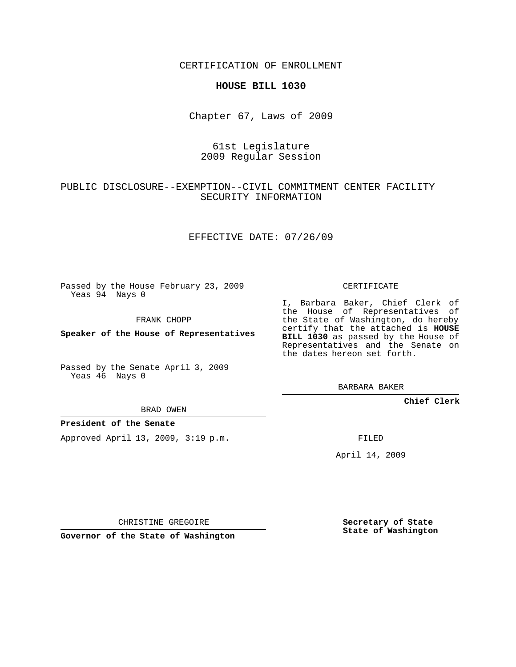CERTIFICATION OF ENROLLMENT

### **HOUSE BILL 1030**

Chapter 67, Laws of 2009

# 61st Legislature 2009 Regular Session

# PUBLIC DISCLOSURE--EXEMPTION--CIVIL COMMITMENT CENTER FACILITY SECURITY INFORMATION

## EFFECTIVE DATE: 07/26/09

Passed by the House February 23, 2009 Yeas 94 Nays 0

FRANK CHOPP

**Speaker of the House of Representatives**

Passed by the Senate April 3, 2009 Yeas 46 Nays 0

BRAD OWEN

#### **President of the Senate**

Approved April 13, 2009, 3:19 p.m.

CERTIFICATE

I, Barbara Baker, Chief Clerk of the House of Representatives of the State of Washington, do hereby certify that the attached is **HOUSE BILL 1030** as passed by the House of Representatives and the Senate on the dates hereon set forth.

BARBARA BAKER

**Chief Clerk**

FILED

April 14, 2009

CHRISTINE GREGOIRE

**Governor of the State of Washington**

**Secretary of State State of Washington**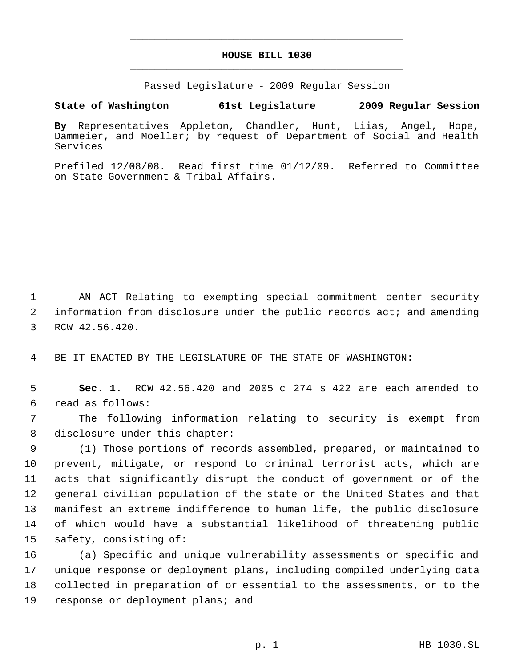# **HOUSE BILL 1030** \_\_\_\_\_\_\_\_\_\_\_\_\_\_\_\_\_\_\_\_\_\_\_\_\_\_\_\_\_\_\_\_\_\_\_\_\_\_\_\_\_\_\_\_\_

\_\_\_\_\_\_\_\_\_\_\_\_\_\_\_\_\_\_\_\_\_\_\_\_\_\_\_\_\_\_\_\_\_\_\_\_\_\_\_\_\_\_\_\_\_

Passed Legislature - 2009 Regular Session

**State of Washington 61st Legislature 2009 Regular Session**

**By** Representatives Appleton, Chandler, Hunt, Liias, Angel, Hope, Dammeier, and Moeller; by request of Department of Social and Health Services

Prefiled 12/08/08. Read first time 01/12/09. Referred to Committee on State Government & Tribal Affairs.

 1 AN ACT Relating to exempting special commitment center security 2 information from disclosure under the public records act; and amending 3 RCW 42.56.420.

4 BE IT ENACTED BY THE LEGISLATURE OF THE STATE OF WASHINGTON:

 5 **Sec. 1.** RCW 42.56.420 and 2005 c 274 s 422 are each amended to 6 read as follows:

 7 The following information relating to security is exempt from 8 disclosure under this chapter:

 (1) Those portions of records assembled, prepared, or maintained to prevent, mitigate, or respond to criminal terrorist acts, which are acts that significantly disrupt the conduct of government or of the general civilian population of the state or the United States and that manifest an extreme indifference to human life, the public disclosure of which would have a substantial likelihood of threatening public safety, consisting of:

 (a) Specific and unique vulnerability assessments or specific and unique response or deployment plans, including compiled underlying data collected in preparation of or essential to the assessments, or to the 19 response or deployment plans; and